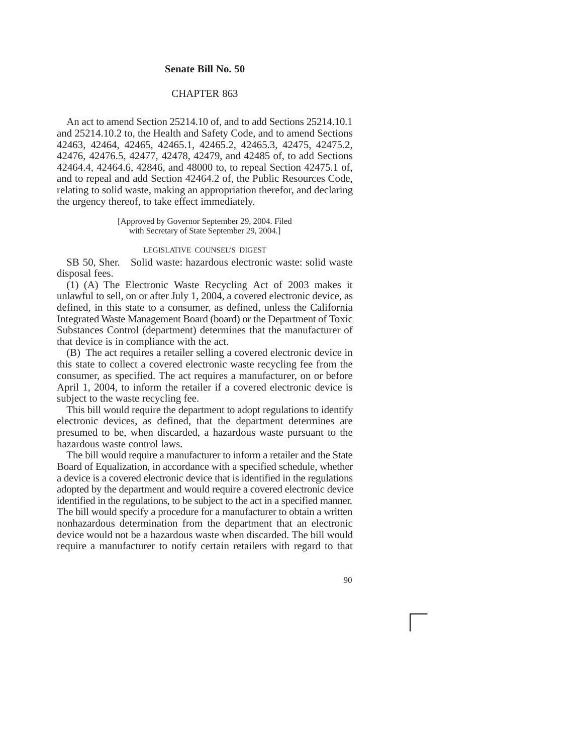## **Senate Bill No. 50**

## CHAPTER 863

An act to amend Section 25214.10 of, and to add Sections 25214.10.1 and 25214.10.2 to, the Health and Safety Code, and to amend Sections 42463, 42464, 42465, 42465.1, 42465.2, 42465.3, 42475, 42475.2, 42476, 42476.5, 42477, 42478, 42479, and 42485 of, to add Sections 42464.4, 42464.6, 42846, and 48000 to, to repeal Section 42475.1 of, and to repeal and add Section 42464.2 of, the Public Resources Code, relating to solid waste, making an appropriation therefor, and declaring the urgency thereof, to take effect immediately.

> [Approved by Governor September 29, 2004. Filed with Secretary of State September 29, 2004.]

## LEGISLATIVE COUNSEL'S DIGEST

SB 50, Sher. Solid waste: hazardous electronic waste: solid waste disposal fees.

(1) (A) The Electronic Waste Recycling Act of 2003 makes it unlawful to sell, on or after July 1, 2004, a covered electronic device, as defined, in this state to a consumer, as defined, unless the California Integrated Waste Management Board (board) or the Department of Toxic Substances Control (department) determines that the manufacturer of that device is in compliance with the act.

(B) The act requires a retailer selling a covered electronic device in this state to collect a covered electronic waste recycling fee from the consumer, as specified. The act requires a manufacturer, on or before April 1, 2004, to inform the retailer if a covered electronic device is subject to the waste recycling fee.

This bill would require the department to adopt regulations to identify electronic devices, as defined, that the department determines are presumed to be, when discarded, a hazardous waste pursuant to the hazardous waste control laws.

The bill would require a manufacturer to inform a retailer and the State Board of Equalization, in accordance with a specified schedule, whether a device is a covered electronic device that is identified in the regulations adopted by the department and would require a covered electronic device identified in the regulations, to be subject to the act in a specified manner. The bill would specify a procedure for a manufacturer to obtain a written nonhazardous determination from the department that an electronic device would not be a hazardous waste when discarded. The bill would require a manufacturer to notify certain retailers with regard to that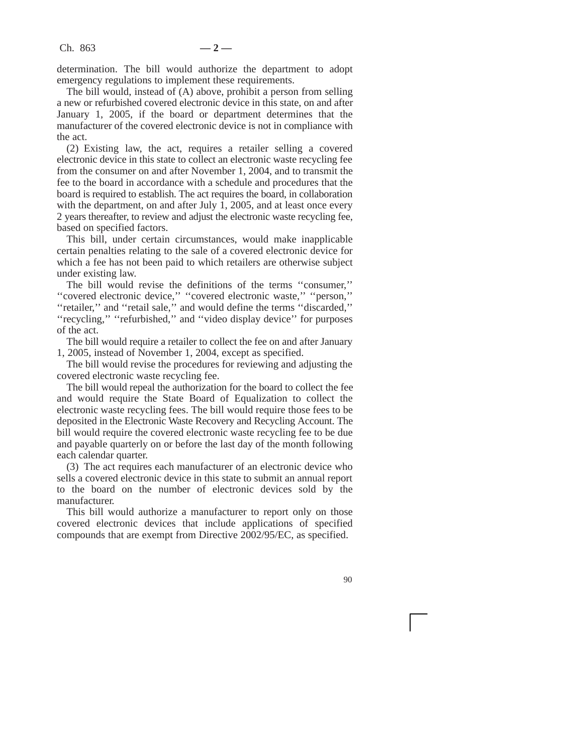determination. The bill would authorize the department to adopt emergency regulations to implement these requirements.

The bill would, instead of (A) above, prohibit a person from selling a new or refurbished covered electronic device in this state, on and after January 1, 2005, if the board or department determines that the manufacturer of the covered electronic device is not in compliance with the act.

(2) Existing law, the act, requires a retailer selling a covered electronic device in this state to collect an electronic waste recycling fee from the consumer on and after November 1, 2004, and to transmit the fee to the board in accordance with a schedule and procedures that the board is required to establish. The act requires the board, in collaboration with the department, on and after July  $\overline{1}$ , 2005, and at least once every 2 years thereafter, to review and adjust the electronic waste recycling fee, based on specified factors.

This bill, under certain circumstances, would make inapplicable certain penalties relating to the sale of a covered electronic device for which a fee has not been paid to which retailers are otherwise subject under existing law.

The bill would revise the definitions of the terms ''consumer,'' ''covered electronic device,'' ''covered electronic waste,'' ''person,'' ''retailer,'' and ''retail sale,'' and would define the terms ''discarded,'' "recycling," "refurbished," and "video display device" for purposes of the act.

The bill would require a retailer to collect the fee on and after January 1, 2005, instead of November 1, 2004, except as specified.

The bill would revise the procedures for reviewing and adjusting the covered electronic waste recycling fee.

The bill would repeal the authorization for the board to collect the fee and would require the State Board of Equalization to collect the electronic waste recycling fees. The bill would require those fees to be deposited in the Electronic Waste Recovery and Recycling Account. The bill would require the covered electronic waste recycling fee to be due and payable quarterly on or before the last day of the month following each calendar quarter.

(3) The act requires each manufacturer of an electronic device who sells a covered electronic device in this state to submit an annual report to the board on the number of electronic devices sold by the manufacturer.

This bill would authorize a manufacturer to report only on those covered electronic devices that include applications of specified compounds that are exempt from Directive 2002/95/EC, as specified.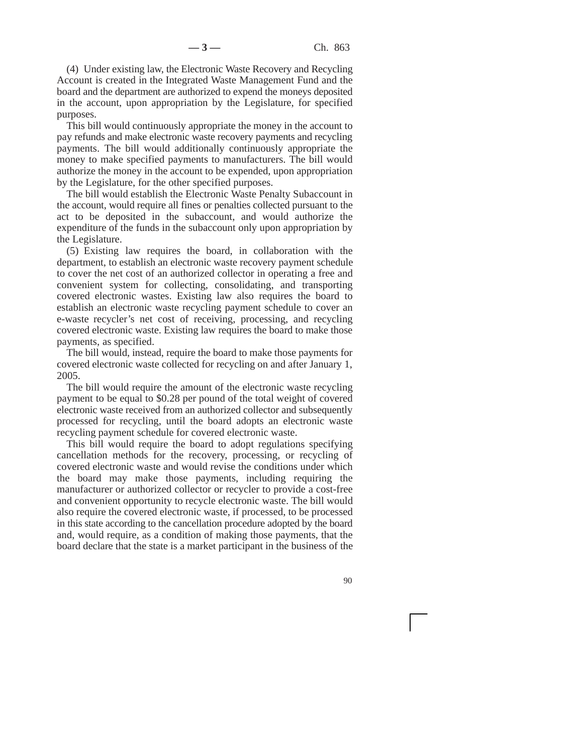(4) Under existing law, the Electronic Waste Recovery and Recycling Account is created in the Integrated Waste Management Fund and the board and the department are authorized to expend the moneys deposited in the account, upon appropriation by the Legislature, for specified purposes.

This bill would continuously appropriate the money in the account to pay refunds and make electronic waste recovery payments and recycling payments. The bill would additionally continuously appropriate the money to make specified payments to manufacturers. The bill would authorize the money in the account to be expended, upon appropriation by the Legislature, for the other specified purposes.

The bill would establish the Electronic Waste Penalty Subaccount in the account, would require all fines or penalties collected pursuant to the act to be deposited in the subaccount, and would authorize the expenditure of the funds in the subaccount only upon appropriation by the Legislature.

(5) Existing law requires the board, in collaboration with the department, to establish an electronic waste recovery payment schedule to cover the net cost of an authorized collector in operating a free and convenient system for collecting, consolidating, and transporting covered electronic wastes. Existing law also requires the board to establish an electronic waste recycling payment schedule to cover an e-waste recycler's net cost of receiving, processing, and recycling covered electronic waste. Existing law requires the board to make those payments, as specified.

The bill would, instead, require the board to make those payments for covered electronic waste collected for recycling on and after January 1, 2005.

The bill would require the amount of the electronic waste recycling payment to be equal to \$0.28 per pound of the total weight of covered electronic waste received from an authorized collector and subsequently processed for recycling, until the board adopts an electronic waste recycling payment schedule for covered electronic waste.

This bill would require the board to adopt regulations specifying cancellation methods for the recovery, processing, or recycling of covered electronic waste and would revise the conditions under which the board may make those payments, including requiring the manufacturer or authorized collector or recycler to provide a cost-free and convenient opportunity to recycle electronic waste. The bill would also require the covered electronic waste, if processed, to be processed in this state according to the cancellation procedure adopted by the board and, would require, as a condition of making those payments, that the board declare that the state is a market participant in the business of the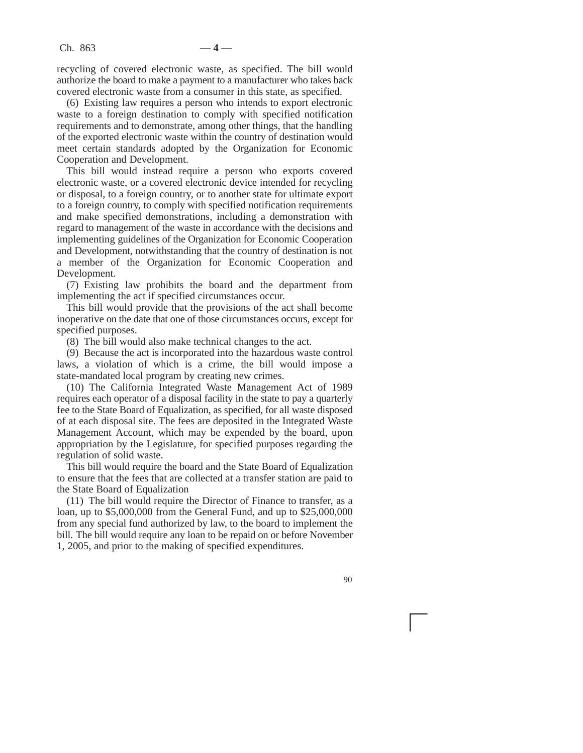recycling of covered electronic waste, as specified. The bill would authorize the board to make a payment to a manufacturer who takes back covered electronic waste from a consumer in this state, as specified.

(6) Existing law requires a person who intends to export electronic waste to a foreign destination to comply with specified notification requirements and to demonstrate, among other things, that the handling of the exported electronic waste within the country of destination would meet certain standards adopted by the Organization for Economic Cooperation and Development.

This bill would instead require a person who exports covered electronic waste, or a covered electronic device intended for recycling or disposal, to a foreign country, or to another state for ultimate export to a foreign country, to comply with specified notification requirements and make specified demonstrations, including a demonstration with regard to management of the waste in accordance with the decisions and implementing guidelines of the Organization for Economic Cooperation and Development, notwithstanding that the country of destination is not a member of the Organization for Economic Cooperation and Development.

(7) Existing law prohibits the board and the department from implementing the act if specified circumstances occur.

This bill would provide that the provisions of the act shall become inoperative on the date that one of those circumstances occurs, except for specified purposes.

(8) The bill would also make technical changes to the act.

(9) Because the act is incorporated into the hazardous waste control laws, a violation of which is a crime, the bill would impose a state-mandated local program by creating new crimes.

(10) The California Integrated Waste Management Act of 1989 requires each operator of a disposal facility in the state to pay a quarterly fee to the State Board of Equalization, as specified, for all waste disposed of at each disposal site. The fees are deposited in the Integrated Waste Management Account, which may be expended by the board, upon appropriation by the Legislature, for specified purposes regarding the regulation of solid waste.

This bill would require the board and the State Board of Equalization to ensure that the fees that are collected at a transfer station are paid to the State Board of Equalization

(11) The bill would require the Director of Finance to transfer, as a loan, up to \$5,000,000 from the General Fund, and up to \$25,000,000 from any special fund authorized by law, to the board to implement the bill. The bill would require any loan to be repaid on or before November 1, 2005, and prior to the making of specified expenditures.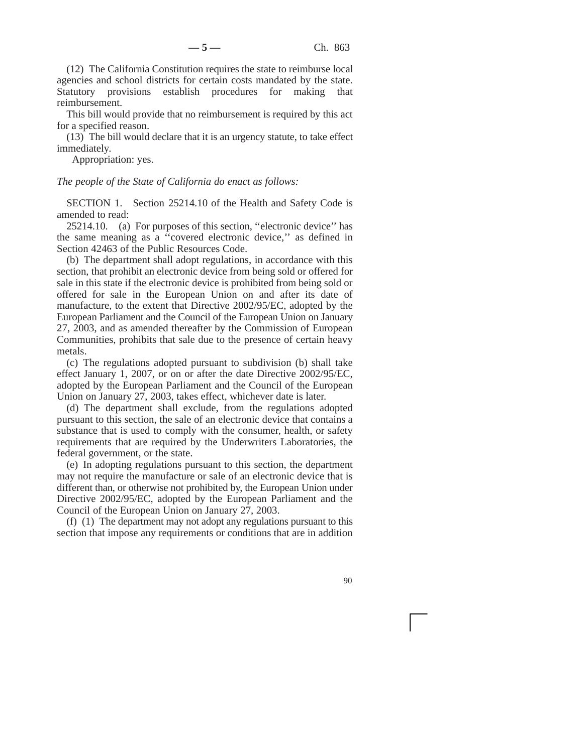(12) The California Constitution requires the state to reimburse local agencies and school districts for certain costs mandated by the state. Statutory provisions establish procedures for making that reimbursement.

This bill would provide that no reimbursement is required by this act for a specified reason.

(13) The bill would declare that it is an urgency statute, to take effect immediately.

Appropriation: yes.

*The people of the State of California do enact as follows:*

SECTION 1. Section 25214.10 of the Health and Safety Code is amended to read:

25214.10. (a) For purposes of this section, ''electronic device'' has the same meaning as a ''covered electronic device,'' as defined in Section 42463 of the Public Resources Code.

(b) The department shall adopt regulations, in accordance with this section, that prohibit an electronic device from being sold or offered for sale in this state if the electronic device is prohibited from being sold or offered for sale in the European Union on and after its date of manufacture, to the extent that Directive 2002/95/EC, adopted by the European Parliament and the Council of the European Union on January 27, 2003, and as amended thereafter by the Commission of European Communities, prohibits that sale due to the presence of certain heavy metals.

(c) The regulations adopted pursuant to subdivision (b) shall take effect January 1, 2007, or on or after the date Directive 2002/95/EC, adopted by the European Parliament and the Council of the European Union on January 27, 2003, takes effect, whichever date is later.

(d) The department shall exclude, from the regulations adopted pursuant to this section, the sale of an electronic device that contains a substance that is used to comply with the consumer, health, or safety requirements that are required by the Underwriters Laboratories, the federal government, or the state.

(e) In adopting regulations pursuant to this section, the department may not require the manufacture or sale of an electronic device that is different than, or otherwise not prohibited by, the European Union under Directive 2002/95/EC, adopted by the European Parliament and the Council of the European Union on January 27, 2003.

(f) (1) The department may not adopt any regulations pursuant to this section that impose any requirements or conditions that are in addition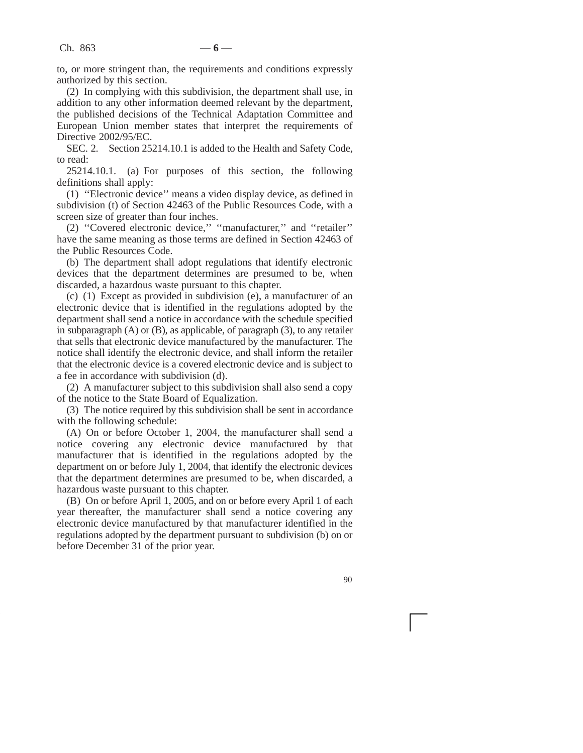to, or more stringent than, the requirements and conditions expressly authorized by this section.

(2) In complying with this subdivision, the department shall use, in addition to any other information deemed relevant by the department, the published decisions of the Technical Adaptation Committee and European Union member states that interpret the requirements of Directive 2002/95/EC.

SEC. 2. Section 25214.10.1 is added to the Health and Safety Code, to read:

25214.10.1. (a) For purposes of this section, the following definitions shall apply:

(1) ''Electronic device'' means a video display device, as defined in subdivision (t) of Section 42463 of the Public Resources Code, with a screen size of greater than four inches.

(2) ''Covered electronic device,'' ''manufacturer,'' and ''retailer'' have the same meaning as those terms are defined in Section 42463 of the Public Resources Code.

(b) The department shall adopt regulations that identify electronic devices that the department determines are presumed to be, when discarded, a hazardous waste pursuant to this chapter.

(c) (1) Except as provided in subdivision (e), a manufacturer of an electronic device that is identified in the regulations adopted by the department shall send a notice in accordance with the schedule specified in subparagraph (A) or (B), as applicable, of paragraph (3), to any retailer that sells that electronic device manufactured by the manufacturer. The notice shall identify the electronic device, and shall inform the retailer that the electronic device is a covered electronic device and is subject to a fee in accordance with subdivision (d).

(2) A manufacturer subject to this subdivision shall also send a copy of the notice to the State Board of Equalization.

(3) The notice required by this subdivision shall be sent in accordance with the following schedule:

(A) On or before October 1, 2004, the manufacturer shall send a notice covering any electronic device manufactured by that manufacturer that is identified in the regulations adopted by the department on or before July 1, 2004, that identify the electronic devices that the department determines are presumed to be, when discarded, a hazardous waste pursuant to this chapter.

(B) On or before April 1, 2005, and on or before every April 1 of each year thereafter, the manufacturer shall send a notice covering any electronic device manufactured by that manufacturer identified in the regulations adopted by the department pursuant to subdivision (b) on or before December 31 of the prior year.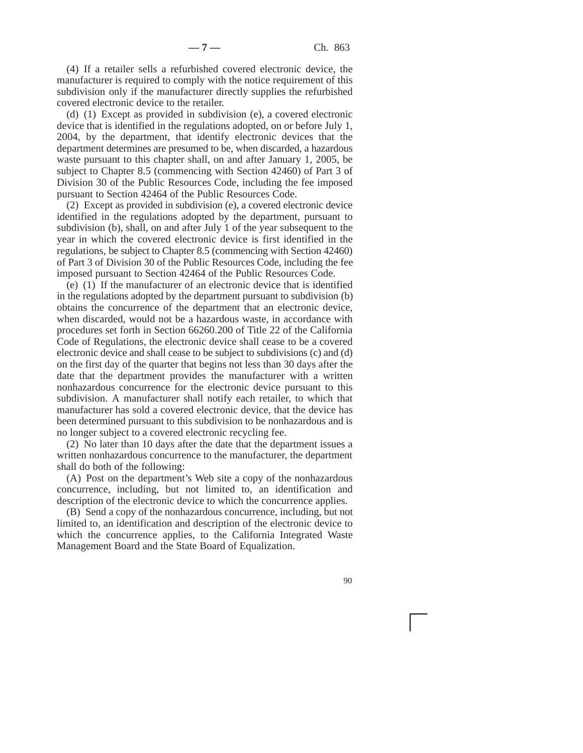(4) If a retailer sells a refurbished covered electronic device, the manufacturer is required to comply with the notice requirement of this subdivision only if the manufacturer directly supplies the refurbished covered electronic device to the retailer.

(d) (1) Except as provided in subdivision (e), a covered electronic device that is identified in the regulations adopted, on or before July 1, 2004, by the department, that identify electronic devices that the department determines are presumed to be, when discarded, a hazardous waste pursuant to this chapter shall, on and after January 1, 2005, be subject to Chapter 8.5 (commencing with Section 42460) of Part 3 of Division 30 of the Public Resources Code, including the fee imposed pursuant to Section 42464 of the Public Resources Code.

(2) Except as provided in subdivision (e), a covered electronic device identified in the regulations adopted by the department, pursuant to subdivision (b), shall, on and after July 1 of the year subsequent to the year in which the covered electronic device is first identified in the regulations, be subject to Chapter 8.5 (commencing with Section 42460) of Part 3 of Division 30 of the Public Resources Code, including the fee imposed pursuant to Section 42464 of the Public Resources Code.

(e) (1) If the manufacturer of an electronic device that is identified in the regulations adopted by the department pursuant to subdivision (b) obtains the concurrence of the department that an electronic device, when discarded, would not be a hazardous waste, in accordance with procedures set forth in Section 66260.200 of Title 22 of the California Code of Regulations, the electronic device shall cease to be a covered electronic device and shall cease to be subject to subdivisions (c) and (d) on the first day of the quarter that begins not less than 30 days after the date that the department provides the manufacturer with a written nonhazardous concurrence for the electronic device pursuant to this subdivision. A manufacturer shall notify each retailer, to which that manufacturer has sold a covered electronic device, that the device has been determined pursuant to this subdivision to be nonhazardous and is no longer subject to a covered electronic recycling fee.

(2) No later than 10 days after the date that the department issues a written nonhazardous concurrence to the manufacturer, the department shall do both of the following:

(A) Post on the department's Web site a copy of the nonhazardous concurrence, including, but not limited to, an identification and description of the electronic device to which the concurrence applies.

(B) Send a copy of the nonhazardous concurrence, including, but not limited to, an identification and description of the electronic device to which the concurrence applies, to the California Integrated Waste Management Board and the State Board of Equalization.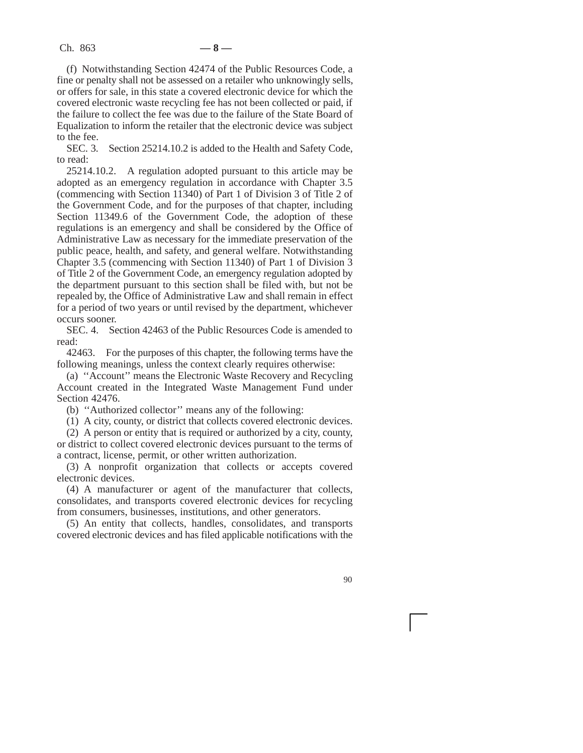(f) Notwithstanding Section 42474 of the Public Resources Code, a fine or penalty shall not be assessed on a retailer who unknowingly sells, or offers for sale, in this state a covered electronic device for which the covered electronic waste recycling fee has not been collected or paid, if the failure to collect the fee was due to the failure of the State Board of Equalization to inform the retailer that the electronic device was subject to the fee.

SEC. 3. Section 25214.10.2 is added to the Health and Safety Code, to read:

25214.10.2. A regulation adopted pursuant to this article may be adopted as an emergency regulation in accordance with Chapter 3.5 (commencing with Section 11340) of Part 1 of Division 3 of Title 2 of the Government Code, and for the purposes of that chapter, including Section 11349.6 of the Government Code, the adoption of these regulations is an emergency and shall be considered by the Office of Administrative Law as necessary for the immediate preservation of the public peace, health, and safety, and general welfare. Notwithstanding Chapter 3.5 (commencing with Section 11340) of Part 1 of Division 3 of Title 2 of the Government Code, an emergency regulation adopted by the department pursuant to this section shall be filed with, but not be repealed by, the Office of Administrative Law and shall remain in effect for a period of two years or until revised by the department, whichever occurs sooner.

SEC. 4. Section 42463 of the Public Resources Code is amended to read:

42463. For the purposes of this chapter, the following terms have the following meanings, unless the context clearly requires otherwise:

(a) ''Account'' means the Electronic Waste Recovery and Recycling Account created in the Integrated Waste Management Fund under Section 42476.

(b) ''Authorized collector'' means any of the following:

(1) A city, county, or district that collects covered electronic devices.

(2) A person or entity that is required or authorized by a city, county, or district to collect covered electronic devices pursuant to the terms of a contract, license, permit, or other written authorization.

(3) A nonprofit organization that collects or accepts covered electronic devices.

(4) A manufacturer or agent of the manufacturer that collects, consolidates, and transports covered electronic devices for recycling from consumers, businesses, institutions, and other generators.

(5) An entity that collects, handles, consolidates, and transports covered electronic devices and has filed applicable notifications with the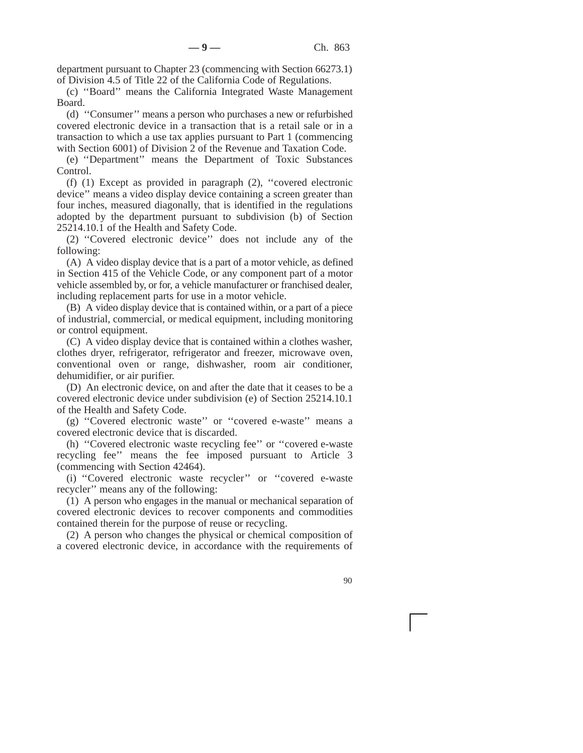department pursuant to Chapter 23 (commencing with Section 66273.1) of Division 4.5 of Title 22 of the California Code of Regulations.

(c) ''Board'' means the California Integrated Waste Management Board.

(d) ''Consumer'' means a person who purchases a new or refurbished covered electronic device in a transaction that is a retail sale or in a transaction to which a use tax applies pursuant to Part 1 (commencing with Section 6001) of Division 2 of the Revenue and Taxation Code.

(e) ''Department'' means the Department of Toxic Substances Control.

(f) (1) Except as provided in paragraph (2), ''covered electronic device'' means a video display device containing a screen greater than four inches, measured diagonally, that is identified in the regulations adopted by the department pursuant to subdivision (b) of Section 25214.10.1 of the Health and Safety Code.

(2) ''Covered electronic device'' does not include any of the following:

(A) A video display device that is a part of a motor vehicle, as defined in Section 415 of the Vehicle Code, or any component part of a motor vehicle assembled by, or for, a vehicle manufacturer or franchised dealer, including replacement parts for use in a motor vehicle.

(B) A video display device that is contained within, or a part of a piece of industrial, commercial, or medical equipment, including monitoring or control equipment.

(C) A video display device that is contained within a clothes washer, clothes dryer, refrigerator, refrigerator and freezer, microwave oven, conventional oven or range, dishwasher, room air conditioner, dehumidifier, or air purifier.

(D) An electronic device, on and after the date that it ceases to be a covered electronic device under subdivision (e) of Section 25214.10.1 of the Health and Safety Code.

(g) ''Covered electronic waste'' or ''covered e-waste'' means a covered electronic device that is discarded.

(h) ''Covered electronic waste recycling fee'' or ''covered e-waste recycling fee'' means the fee imposed pursuant to Article 3 (commencing with Section 42464).

(i) ''Covered electronic waste recycler'' or ''covered e-waste recycler'' means any of the following:

(1) A person who engages in the manual or mechanical separation of covered electronic devices to recover components and commodities contained therein for the purpose of reuse or recycling.

(2) A person who changes the physical or chemical composition of a covered electronic device, in accordance with the requirements of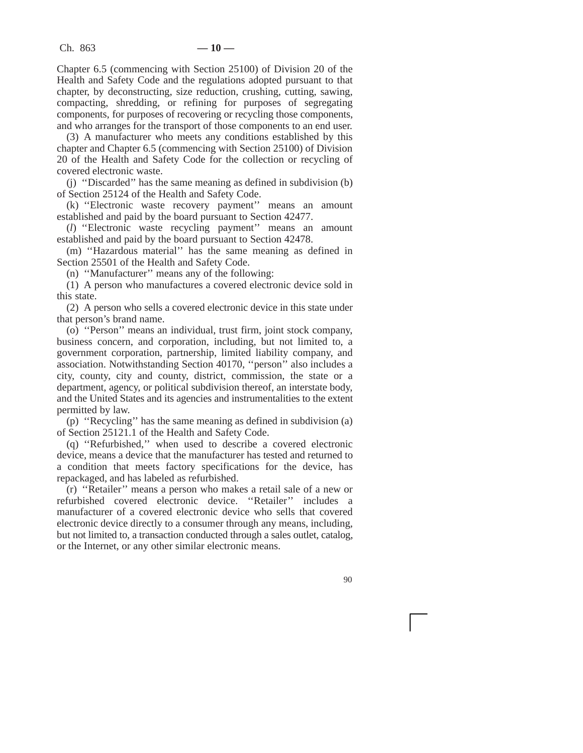Chapter 6.5 (commencing with Section 25100) of Division 20 of the Health and Safety Code and the regulations adopted pursuant to that chapter, by deconstructing, size reduction, crushing, cutting, sawing, compacting, shredding, or refining for purposes of segregating components, for purposes of recovering or recycling those components, and who arranges for the transport of those components to an end user.

(3) A manufacturer who meets any conditions established by this chapter and Chapter 6.5 (commencing with Section 25100) of Division 20 of the Health and Safety Code for the collection or recycling of covered electronic waste.

(j) ''Discarded'' has the same meaning as defined in subdivision (b) of Section 25124 of the Health and Safety Code.

(k) ''Electronic waste recovery payment'' means an amount established and paid by the board pursuant to Section 42477.

(*l*) ''Electronic waste recycling payment'' means an amount established and paid by the board pursuant to Section 42478.

(m) ''Hazardous material'' has the same meaning as defined in Section 25501 of the Health and Safety Code.

(n) ''Manufacturer'' means any of the following:

(1) A person who manufactures a covered electronic device sold in this state.

(2) A person who sells a covered electronic device in this state under that person's brand name.

(o) ''Person'' means an individual, trust firm, joint stock company, business concern, and corporation, including, but not limited to, a government corporation, partnership, limited liability company, and association. Notwithstanding Section 40170, ''person'' also includes a city, county, city and county, district, commission, the state or a department, agency, or political subdivision thereof, an interstate body, and the United States and its agencies and instrumentalities to the extent permitted by law.

(p) ''Recycling'' has the same meaning as defined in subdivision (a) of Section 25121.1 of the Health and Safety Code.

(q) ''Refurbished,'' when used to describe a covered electronic device, means a device that the manufacturer has tested and returned to a condition that meets factory specifications for the device, has repackaged, and has labeled as refurbished.

(r) ''Retailer'' means a person who makes a retail sale of a new or refurbished covered electronic device. ''Retailer'' includes a manufacturer of a covered electronic device who sells that covered electronic device directly to a consumer through any means, including, but not limited to, a transaction conducted through a sales outlet, catalog, or the Internet, or any other similar electronic means.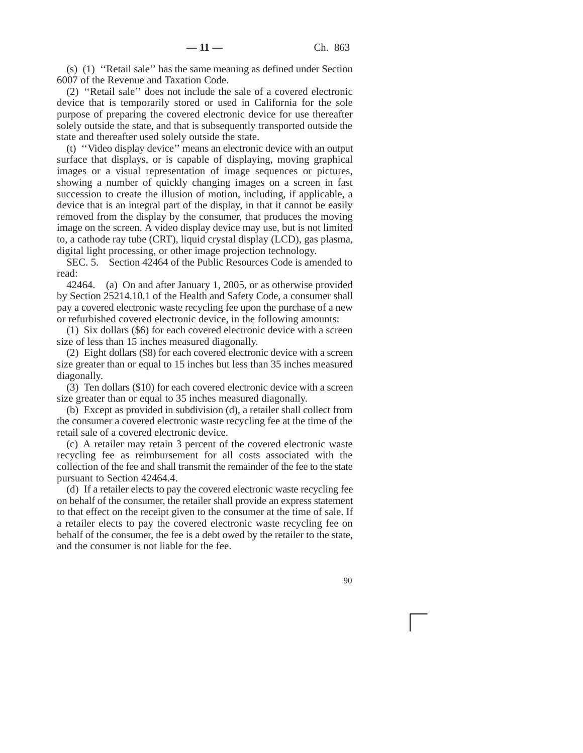(s) (1) ''Retail sale'' has the same meaning as defined under Section 6007 of the Revenue and Taxation Code.

(2) ''Retail sale'' does not include the sale of a covered electronic device that is temporarily stored or used in California for the sole purpose of preparing the covered electronic device for use thereafter solely outside the state, and that is subsequently transported outside the state and thereafter used solely outside the state.

(t) ''Video display device'' means an electronic device with an output surface that displays, or is capable of displaying, moving graphical images or a visual representation of image sequences or pictures, showing a number of quickly changing images on a screen in fast succession to create the illusion of motion, including, if applicable, a device that is an integral part of the display, in that it cannot be easily removed from the display by the consumer, that produces the moving image on the screen. A video display device may use, but is not limited to, a cathode ray tube (CRT), liquid crystal display (LCD), gas plasma, digital light processing, or other image projection technology.

SEC. 5. Section 42464 of the Public Resources Code is amended to read:

42464. (a) On and after January 1, 2005, or as otherwise provided by Section 25214.10.1 of the Health and Safety Code, a consumer shall pay a covered electronic waste recycling fee upon the purchase of a new or refurbished covered electronic device, in the following amounts:

(1) Six dollars (\$6) for each covered electronic device with a screen size of less than 15 inches measured diagonally.

(2) Eight dollars (\$8) for each covered electronic device with a screen size greater than or equal to 15 inches but less than 35 inches measured diagonally.

(3) Ten dollars (\$10) for each covered electronic device with a screen size greater than or equal to 35 inches measured diagonally.

(b) Except as provided in subdivision (d), a retailer shall collect from the consumer a covered electronic waste recycling fee at the time of the retail sale of a covered electronic device.

(c) A retailer may retain 3 percent of the covered electronic waste recycling fee as reimbursement for all costs associated with the collection of the fee and shall transmit the remainder of the fee to the state pursuant to Section 42464.4.

(d) If a retailer elects to pay the covered electronic waste recycling fee on behalf of the consumer, the retailer shall provide an express statement to that effect on the receipt given to the consumer at the time of sale. If a retailer elects to pay the covered electronic waste recycling fee on behalf of the consumer, the fee is a debt owed by the retailer to the state, and the consumer is not liable for the fee.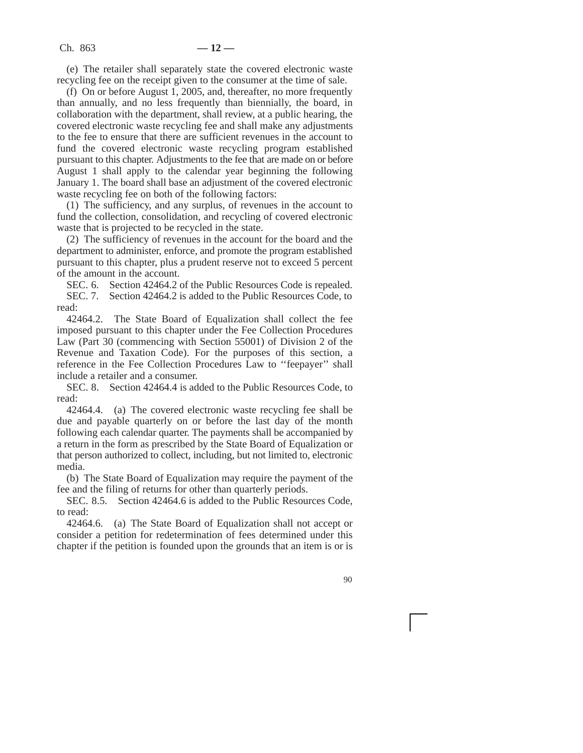(e) The retailer shall separately state the covered electronic waste recycling fee on the receipt given to the consumer at the time of sale.

(f) On or before August 1, 2005, and, thereafter, no more frequently than annually, and no less frequently than biennially, the board, in collaboration with the department, shall review, at a public hearing, the covered electronic waste recycling fee and shall make any adjustments to the fee to ensure that there are sufficient revenues in the account to fund the covered electronic waste recycling program established pursuant to this chapter. Adjustments to the fee that are made on or before August 1 shall apply to the calendar year beginning the following January 1. The board shall base an adjustment of the covered electronic waste recycling fee on both of the following factors:

(1) The sufficiency, and any surplus, of revenues in the account to fund the collection, consolidation, and recycling of covered electronic waste that is projected to be recycled in the state.

(2) The sufficiency of revenues in the account for the board and the department to administer, enforce, and promote the program established pursuant to this chapter, plus a prudent reserve not to exceed 5 percent of the amount in the account.

SEC. 6. Section 42464.2 of the Public Resources Code is repealed.

SEC. 7. Section 42464.2 is added to the Public Resources Code, to read:

42464.2. The State Board of Equalization shall collect the fee imposed pursuant to this chapter under the Fee Collection Procedures Law (Part 30 (commencing with Section 55001) of Division 2 of the Revenue and Taxation Code). For the purposes of this section, a reference in the Fee Collection Procedures Law to ''feepayer'' shall include a retailer and a consumer.

SEC. 8. Section 42464.4 is added to the Public Resources Code, to read:

42464.4. (a) The covered electronic waste recycling fee shall be due and payable quarterly on or before the last day of the month following each calendar quarter. The payments shall be accompanied by a return in the form as prescribed by the State Board of Equalization or that person authorized to collect, including, but not limited to, electronic media.

(b) The State Board of Equalization may require the payment of the fee and the filing of returns for other than quarterly periods.

SEC. 8.5. Section 42464.6 is added to the Public Resources Code, to read:

42464.6. (a) The State Board of Equalization shall not accept or consider a petition for redetermination of fees determined under this chapter if the petition is founded upon the grounds that an item is or is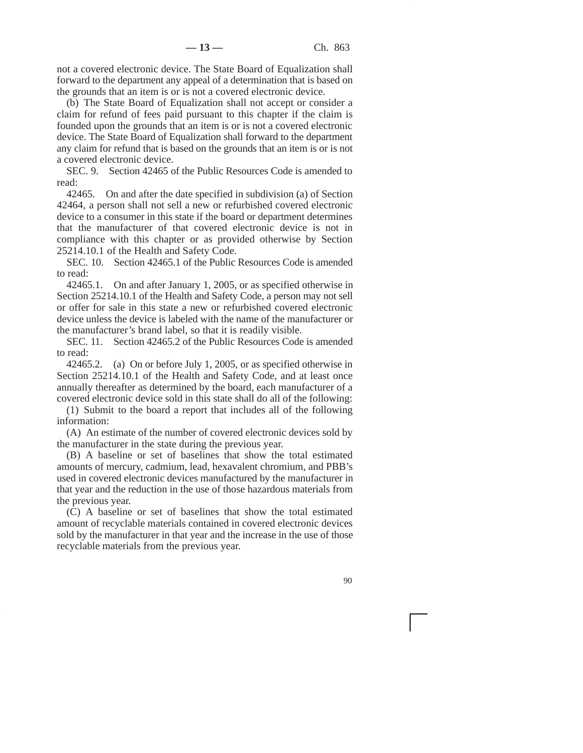not a covered electronic device. The State Board of Equalization shall forward to the department any appeal of a determination that is based on the grounds that an item is or is not a covered electronic device.

(b) The State Board of Equalization shall not accept or consider a claim for refund of fees paid pursuant to this chapter if the claim is founded upon the grounds that an item is or is not a covered electronic device. The State Board of Equalization shall forward to the department any claim for refund that is based on the grounds that an item is or is not a covered electronic device.

SEC. 9. Section 42465 of the Public Resources Code is amended to read:

42465. On and after the date specified in subdivision (a) of Section 42464, a person shall not sell a new or refurbished covered electronic device to a consumer in this state if the board or department determines that the manufacturer of that covered electronic device is not in compliance with this chapter or as provided otherwise by Section 25214.10.1 of the Health and Safety Code.

SEC. 10. Section 42465.1 of the Public Resources Code is amended to read:

42465.1. On and after January 1, 2005, or as specified otherwise in Section 25214.10.1 of the Health and Safety Code, a person may not sell or offer for sale in this state a new or refurbished covered electronic device unless the device is labeled with the name of the manufacturer or the manufacturer's brand label, so that it is readily visible.

SEC. 11. Section 42465.2 of the Public Resources Code is amended to read:

42465.2. (a) On or before July 1, 2005, or as specified otherwise in Section 25214.10.1 of the Health and Safety Code, and at least once annually thereafter as determined by the board, each manufacturer of a covered electronic device sold in this state shall do all of the following:

(1) Submit to the board a report that includes all of the following information:

(A) An estimate of the number of covered electronic devices sold by the manufacturer in the state during the previous year.

(B) A baseline or set of baselines that show the total estimated amounts of mercury, cadmium, lead, hexavalent chromium, and PBB's used in covered electronic devices manufactured by the manufacturer in that year and the reduction in the use of those hazardous materials from the previous year.

(C) A baseline or set of baselines that show the total estimated amount of recyclable materials contained in covered electronic devices sold by the manufacturer in that year and the increase in the use of those recyclable materials from the previous year.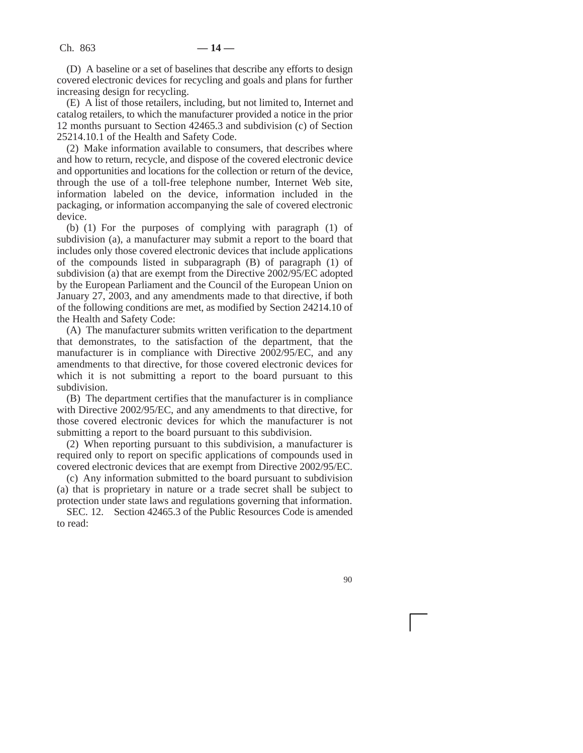(D) A baseline or a set of baselines that describe any efforts to design covered electronic devices for recycling and goals and plans for further increasing design for recycling.

(E) A list of those retailers, including, but not limited to, Internet and catalog retailers, to which the manufacturer provided a notice in the prior 12 months pursuant to Section 42465.3 and subdivision (c) of Section 25214.10.1 of the Health and Safety Code.

(2) Make information available to consumers, that describes where and how to return, recycle, and dispose of the covered electronic device and opportunities and locations for the collection or return of the device, through the use of a toll-free telephone number, Internet Web site, information labeled on the device, information included in the packaging, or information accompanying the sale of covered electronic device.

(b) (1) For the purposes of complying with paragraph (1) of subdivision (a), a manufacturer may submit a report to the board that includes only those covered electronic devices that include applications of the compounds listed in subparagraph (B) of paragraph (1) of subdivision (a) that are exempt from the Directive 2002/95/EC adopted by the European Parliament and the Council of the European Union on January 27, 2003, and any amendments made to that directive, if both of the following conditions are met, as modified by Section 24214.10 of the Health and Safety Code:

(A) The manufacturer submits written verification to the department that demonstrates, to the satisfaction of the department, that the manufacturer is in compliance with Directive 2002/95/EC, and any amendments to that directive, for those covered electronic devices for which it is not submitting a report to the board pursuant to this subdivision.

(B) The department certifies that the manufacturer is in compliance with Directive 2002/95/EC, and any amendments to that directive, for those covered electronic devices for which the manufacturer is not submitting a report to the board pursuant to this subdivision.

(2) When reporting pursuant to this subdivision, a manufacturer is required only to report on specific applications of compounds used in covered electronic devices that are exempt from Directive 2002/95/EC.

(c) Any information submitted to the board pursuant to subdivision (a) that is proprietary in nature or a trade secret shall be subject to protection under state laws and regulations governing that information.

SEC. 12. Section 42465.3 of the Public Resources Code is amended to read: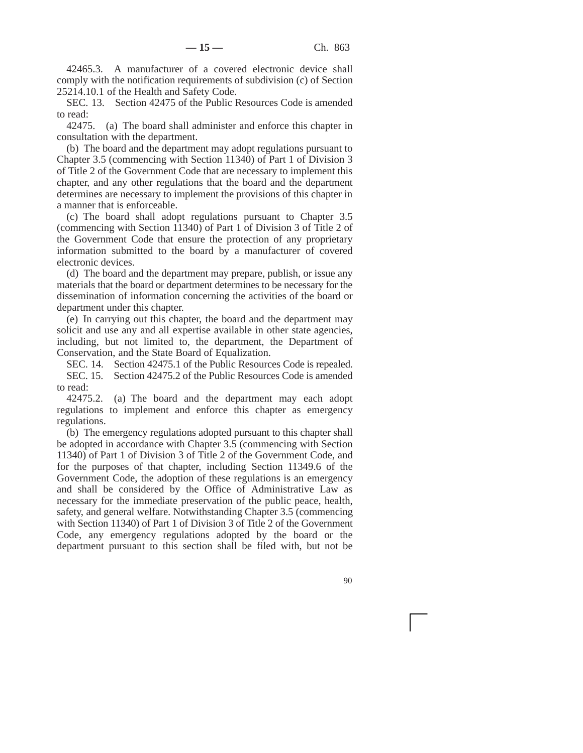42465.3. A manufacturer of a covered electronic device shall comply with the notification requirements of subdivision (c) of Section 25214.10.1 of the Health and Safety Code.

SEC. 13. Section 42475 of the Public Resources Code is amended to read:

42475. (a) The board shall administer and enforce this chapter in consultation with the department.

(b) The board and the department may adopt regulations pursuant to Chapter 3.5 (commencing with Section 11340) of Part 1 of Division 3 of Title 2 of the Government Code that are necessary to implement this chapter, and any other regulations that the board and the department determines are necessary to implement the provisions of this chapter in a manner that is enforceable.

(c) The board shall adopt regulations pursuant to Chapter 3.5 (commencing with Section 11340) of Part 1 of Division 3 of Title 2 of the Government Code that ensure the protection of any proprietary information submitted to the board by a manufacturer of covered electronic devices.

(d) The board and the department may prepare, publish, or issue any materials that the board or department determines to be necessary for the dissemination of information concerning the activities of the board or department under this chapter.

(e) In carrying out this chapter, the board and the department may solicit and use any and all expertise available in other state agencies, including, but not limited to, the department, the Department of Conservation, and the State Board of Equalization.

SEC. 14. Section 42475.1 of the Public Resources Code is repealed. SEC. 15. Section 42475.2 of the Public Resources Code is amended to read:

42475.2. (a) The board and the department may each adopt regulations to implement and enforce this chapter as emergency regulations.

(b) The emergency regulations adopted pursuant to this chapter shall be adopted in accordance with Chapter 3.5 (commencing with Section 11340) of Part 1 of Division 3 of Title 2 of the Government Code, and for the purposes of that chapter, including Section 11349.6 of the Government Code, the adoption of these regulations is an emergency and shall be considered by the Office of Administrative Law as necessary for the immediate preservation of the public peace, health, safety, and general welfare. Notwithstanding Chapter 3.5 (commencing with Section 11340) of Part 1 of Division 3 of Title 2 of the Government Code, any emergency regulations adopted by the board or the department pursuant to this section shall be filed with, but not be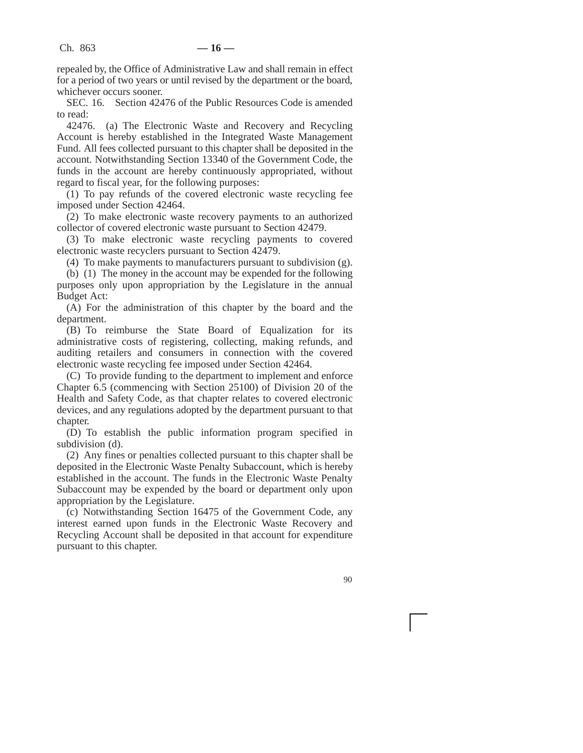repealed by, the Office of Administrative Law and shall remain in effect for a period of two years or until revised by the department or the board, whichever occurs sooner.

SEC. 16. Section 42476 of the Public Resources Code is amended to read:

42476. (a) The Electronic Waste and Recovery and Recycling Account is hereby established in the Integrated Waste Management Fund. All fees collected pursuant to this chapter shall be deposited in the account. Notwithstanding Section 13340 of the Government Code, the funds in the account are hereby continuously appropriated, without regard to fiscal year, for the following purposes:

(1) To pay refunds of the covered electronic waste recycling fee imposed under Section 42464.

(2) To make electronic waste recovery payments to an authorized collector of covered electronic waste pursuant to Section 42479.

(3) To make electronic waste recycling payments to covered electronic waste recyclers pursuant to Section 42479.

(4) To make payments to manufacturers pursuant to subdivision (g).

(b) (1) The money in the account may be expended for the following purposes only upon appropriation by the Legislature in the annual Budget Act:

(A) For the administration of this chapter by the board and the department.

(B) To reimburse the State Board of Equalization for its administrative costs of registering, collecting, making refunds, and auditing retailers and consumers in connection with the covered electronic waste recycling fee imposed under Section 42464.

(C) To provide funding to the department to implement and enforce Chapter 6.5 (commencing with Section 25100) of Division 20 of the Health and Safety Code, as that chapter relates to covered electronic devices, and any regulations adopted by the department pursuant to that chapter.

(D) To establish the public information program specified in subdivision (d).

(2) Any fines or penalties collected pursuant to this chapter shall be deposited in the Electronic Waste Penalty Subaccount, which is hereby established in the account. The funds in the Electronic Waste Penalty Subaccount may be expended by the board or department only upon appropriation by the Legislature.

(c) Notwithstanding Section 16475 of the Government Code, any interest earned upon funds in the Electronic Waste Recovery and Recycling Account shall be deposited in that account for expenditure pursuant to this chapter.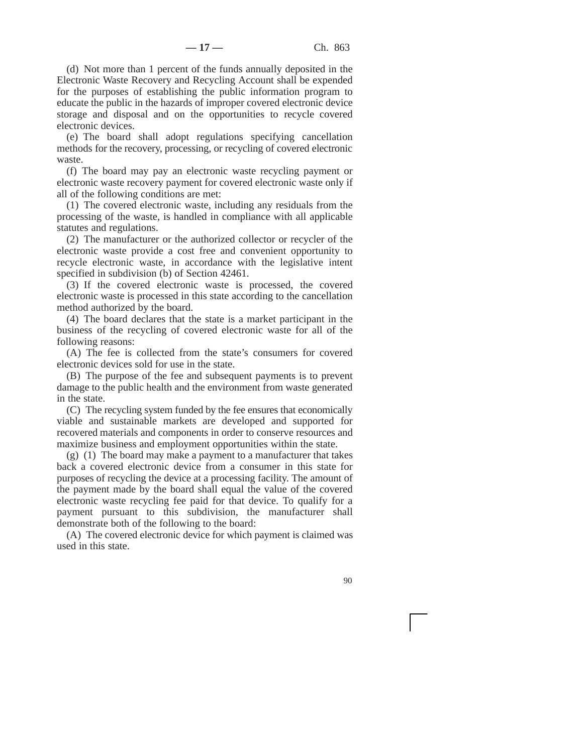(d) Not more than 1 percent of the funds annually deposited in the Electronic Waste Recovery and Recycling Account shall be expended for the purposes of establishing the public information program to educate the public in the hazards of improper covered electronic device storage and disposal and on the opportunities to recycle covered electronic devices.

(e) The board shall adopt regulations specifying cancellation methods for the recovery, processing, or recycling of covered electronic waste.

(f) The board may pay an electronic waste recycling payment or electronic waste recovery payment for covered electronic waste only if all of the following conditions are met:

(1) The covered electronic waste, including any residuals from the processing of the waste, is handled in compliance with all applicable statutes and regulations.

(2) The manufacturer or the authorized collector or recycler of the electronic waste provide a cost free and convenient opportunity to recycle electronic waste, in accordance with the legislative intent specified in subdivision (b) of Section 42461.

(3) If the covered electronic waste is processed, the covered electronic waste is processed in this state according to the cancellation method authorized by the board.

(4) The board declares that the state is a market participant in the business of the recycling of covered electronic waste for all of the following reasons:

(A) The fee is collected from the state's consumers for covered electronic devices sold for use in the state.

(B) The purpose of the fee and subsequent payments is to prevent damage to the public health and the environment from waste generated in the state.

(C) The recycling system funded by the fee ensures that economically viable and sustainable markets are developed and supported for recovered materials and components in order to conserve resources and maximize business and employment opportunities within the state.

(g) (1) The board may make a payment to a manufacturer that takes back a covered electronic device from a consumer in this state for purposes of recycling the device at a processing facility. The amount of the payment made by the board shall equal the value of the covered electronic waste recycling fee paid for that device. To qualify for a payment pursuant to this subdivision, the manufacturer shall demonstrate both of the following to the board:

(A) The covered electronic device for which payment is claimed was used in this state.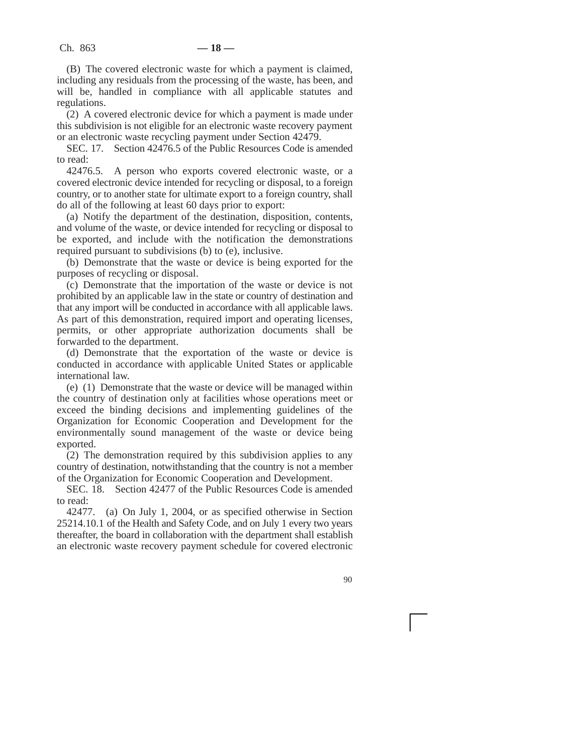(B) The covered electronic waste for which a payment is claimed, including any residuals from the processing of the waste, has been, and will be, handled in compliance with all applicable statutes and regulations.

(2) A covered electronic device for which a payment is made under this subdivision is not eligible for an electronic waste recovery payment or an electronic waste recycling payment under Section 42479.

SEC. 17. Section 42476.5 of the Public Resources Code is amended to read:

42476.5. A person who exports covered electronic waste, or a covered electronic device intended for recycling or disposal, to a foreign country, or to another state for ultimate export to a foreign country, shall do all of the following at least 60 days prior to export:

(a) Notify the department of the destination, disposition, contents, and volume of the waste, or device intended for recycling or disposal to be exported, and include with the notification the demonstrations required pursuant to subdivisions (b) to (e), inclusive.

(b) Demonstrate that the waste or device is being exported for the purposes of recycling or disposal.

(c) Demonstrate that the importation of the waste or device is not prohibited by an applicable law in the state or country of destination and that any import will be conducted in accordance with all applicable laws. As part of this demonstration, required import and operating licenses, permits, or other appropriate authorization documents shall be forwarded to the department.

(d) Demonstrate that the exportation of the waste or device is conducted in accordance with applicable United States or applicable international law.

(e) (1) Demonstrate that the waste or device will be managed within the country of destination only at facilities whose operations meet or exceed the binding decisions and implementing guidelines of the Organization for Economic Cooperation and Development for the environmentally sound management of the waste or device being exported.

(2) The demonstration required by this subdivision applies to any country of destination, notwithstanding that the country is not a member of the Organization for Economic Cooperation and Development.

SEC. 18. Section 42477 of the Public Resources Code is amended to read:

42477. (a) On July 1, 2004, or as specified otherwise in Section 25214.10.1 of the Health and Safety Code, and on July 1 every two years thereafter, the board in collaboration with the department shall establish an electronic waste recovery payment schedule for covered electronic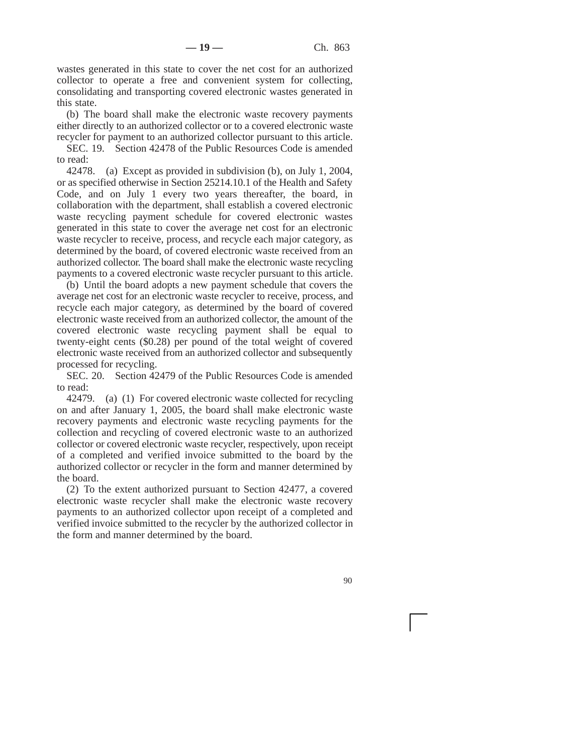wastes generated in this state to cover the net cost for an authorized collector to operate a free and convenient system for collecting, consolidating and transporting covered electronic wastes generated in this state.

(b) The board shall make the electronic waste recovery payments either directly to an authorized collector or to a covered electronic waste recycler for payment to an authorized collector pursuant to this article.

SEC. 19. Section 42478 of the Public Resources Code is amended to read:

42478. (a) Except as provided in subdivision (b), on July 1, 2004, or as specified otherwise in Section 25214.10.1 of the Health and Safety Code, and on July 1 every two years thereafter, the board, in collaboration with the department, shall establish a covered electronic waste recycling payment schedule for covered electronic wastes generated in this state to cover the average net cost for an electronic waste recycler to receive, process, and recycle each major category, as determined by the board, of covered electronic waste received from an authorized collector. The board shall make the electronic waste recycling payments to a covered electronic waste recycler pursuant to this article.

(b) Until the board adopts a new payment schedule that covers the average net cost for an electronic waste recycler to receive, process, and recycle each major category, as determined by the board of covered electronic waste received from an authorized collector, the amount of the covered electronic waste recycling payment shall be equal to twenty-eight cents (\$0.28) per pound of the total weight of covered electronic waste received from an authorized collector and subsequently processed for recycling.

SEC. 20. Section 42479 of the Public Resources Code is amended to read:

42479. (a) (1) For covered electronic waste collected for recycling on and after January 1, 2005, the board shall make electronic waste recovery payments and electronic waste recycling payments for the collection and recycling of covered electronic waste to an authorized collector or covered electronic waste recycler, respectively, upon receipt of a completed and verified invoice submitted to the board by the authorized collector or recycler in the form and manner determined by the board.

(2) To the extent authorized pursuant to Section 42477, a covered electronic waste recycler shall make the electronic waste recovery payments to an authorized collector upon receipt of a completed and verified invoice submitted to the recycler by the authorized collector in the form and manner determined by the board.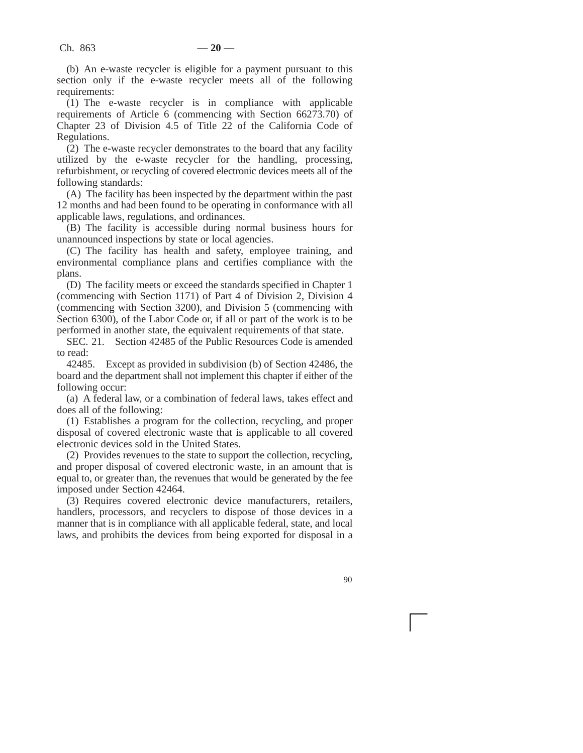(b) An e-waste recycler is eligible for a payment pursuant to this section only if the e-waste recycler meets all of the following requirements:

(1) The e-waste recycler is in compliance with applicable requirements of Article 6 (commencing with Section 66273.70) of Chapter 23 of Division 4.5 of Title 22 of the California Code of Regulations.

(2) The e-waste recycler demonstrates to the board that any facility utilized by the e-waste recycler for the handling, processing, refurbishment, or recycling of covered electronic devices meets all of the following standards:

(A) The facility has been inspected by the department within the past 12 months and had been found to be operating in conformance with all applicable laws, regulations, and ordinances.

(B) The facility is accessible during normal business hours for unannounced inspections by state or local agencies.

(C) The facility has health and safety, employee training, and environmental compliance plans and certifies compliance with the plans.

(D) The facility meets or exceed the standards specified in Chapter 1 (commencing with Section 1171) of Part 4 of Division 2, Division 4 (commencing with Section 3200), and Division 5 (commencing with Section 6300), of the Labor Code or, if all or part of the work is to be performed in another state, the equivalent requirements of that state.

SEC. 21. Section 42485 of the Public Resources Code is amended to read:

42485. Except as provided in subdivision (b) of Section 42486, the board and the department shall not implement this chapter if either of the following occur:

(a) A federal law, or a combination of federal laws, takes effect and does all of the following:

(1) Establishes a program for the collection, recycling, and proper disposal of covered electronic waste that is applicable to all covered electronic devices sold in the United States.

(2) Provides revenues to the state to support the collection, recycling, and proper disposal of covered electronic waste, in an amount that is equal to, or greater than, the revenues that would be generated by the fee imposed under Section 42464.

(3) Requires covered electronic device manufacturers, retailers, handlers, processors, and recyclers to dispose of those devices in a manner that is in compliance with all applicable federal, state, and local laws, and prohibits the devices from being exported for disposal in a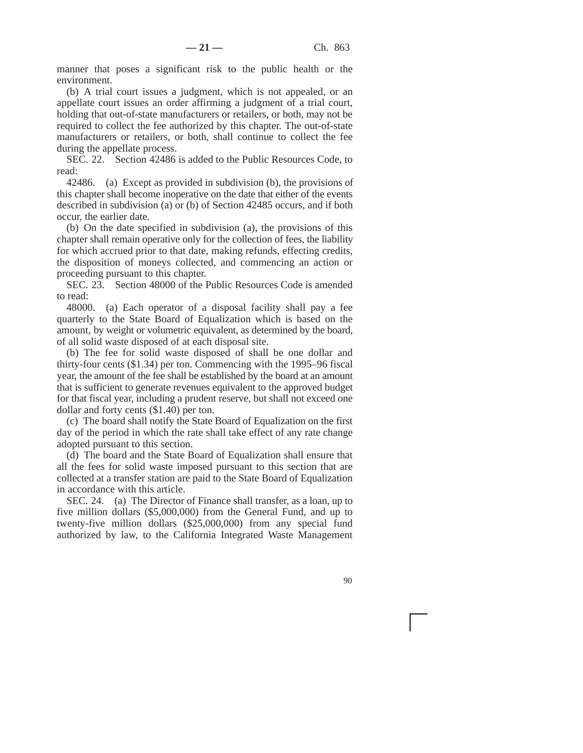manner that poses a significant risk to the public health or the environment.

(b) A trial court issues a judgment, which is not appealed, or an appellate court issues an order affirming a judgment of a trial court, holding that out-of-state manufacturers or retailers, or both, may not be required to collect the fee authorized by this chapter. The out-of-state manufacturers or retailers, or both, shall continue to collect the fee during the appellate process.

SEC. 22. Section 42486 is added to the Public Resources Code, to read:

42486. (a) Except as provided in subdivision (b), the provisions of this chapter shall become inoperative on the date that either of the events described in subdivision (a) or (b) of Section 42485 occurs, and if both occur, the earlier date.

(b) On the date specified in subdivision (a), the provisions of this chapter shall remain operative only for the collection of fees, the liability for which accrued prior to that date, making refunds, effecting credits, the disposition of moneys collected, and commencing an action or proceeding pursuant to this chapter.

SEC. 23. Section 48000 of the Public Resources Code is amended to read:

48000. (a) Each operator of a disposal facility shall pay a fee quarterly to the State Board of Equalization which is based on the amount, by weight or volumetric equivalent, as determined by the board, of all solid waste disposed of at each disposal site.

(b) The fee for solid waste disposed of shall be one dollar and thirty-four cents (\$1.34) per ton. Commencing with the 1995–96 fiscal year, the amount of the fee shall be established by the board at an amount that is sufficient to generate revenues equivalent to the approved budget for that fiscal year, including a prudent reserve, but shall not exceed one dollar and forty cents (\$1.40) per ton.

(c) The board shall notify the State Board of Equalization on the first day of the period in which the rate shall take effect of any rate change adopted pursuant to this section.

(d) The board and the State Board of Equalization shall ensure that all the fees for solid waste imposed pursuant to this section that are collected at a transfer station are paid to the State Board of Equalization in accordance with this article.

SEC. 24. (a) The Director of Finance shall transfer, as a loan, up to five million dollars (\$5,000,000) from the General Fund, and up to twenty-five million dollars (\$25,000,000) from any special fund authorized by law, to the California Integrated Waste Management